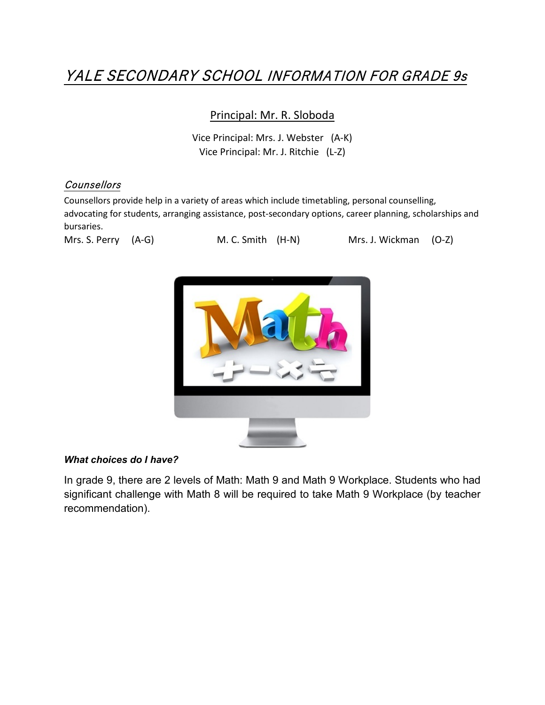## YALE SECONDARY SCHOOL INFORMATION FOR GRADE 9s

### Principal: Mr. R. Sloboda

Vice Principal: Mrs. J. Webster (A-K) Vice Principal: Mr. J. Ritchie (L-Z)

### **Counsellors**

Counsellors provide help in a variety of areas which include timetabling, personal counselling, advocating for students, arranging assistance, post-secondary options, career planning, scholarships and bursaries.



Mrs. S. Perry (A-G) M. C. Smith (H-N) Mrs. J. Wickman (O-Z)



### *What choices do I have?*

In grade 9, there are 2 levels of Math: Math 9 and Math 9 Workplace. Students who had significant challenge with Math 8 will be required to take Math 9 Workplace (by teacher recommendation).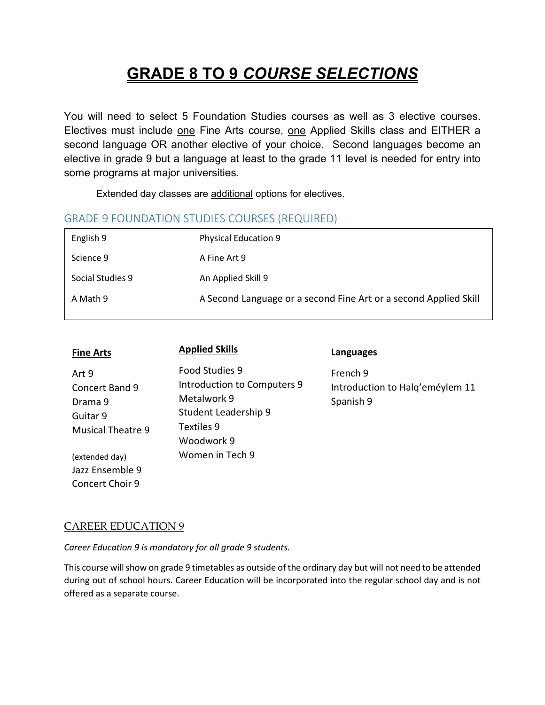# **GRADE 8 TO 9** *COURSE SELECTIONS*

You will need to select 5 Foundation Studies courses as well as 3 elective courses. Electives must include one Fine Arts course, one Applied Skills class and EITHER a second language OR another elective of your choice. Second languages become an elective in grade 9 but a language at least to the grade 11 level is needed for entry into some programs at major universities.

Extended day classes are additional options for electives.

### GRADE 9 FOUNDATION STUDIES COURSES (REQUIRED)

| English 9        | <b>Physical Education 9</b>                                      |
|------------------|------------------------------------------------------------------|
| Science 9        | A Fine Art 9                                                     |
| Social Studies 9 | An Applied Skill 9                                               |
| A Math 9         | A Second Language or a second Fine Art or a second Applied Skill |

| <b>Fine Arts</b>                                                           | <b>Applied Skills</b>                                                                                            | Languages                                                |
|----------------------------------------------------------------------------|------------------------------------------------------------------------------------------------------------------|----------------------------------------------------------|
| Art 9<br>Concert Band 9<br>Drama 9<br>Guitar 9<br><b>Musical Theatre 9</b> | Food Studies 9<br>Introduction to Computers 9<br>Metalwork 9<br>Student Leadership 9<br>Textiles 9<br>Woodwork 9 | French 9<br>Introduction to Halg'eméylem 11<br>Spanish 9 |
| (extended day)                                                             | Women in Tech 9                                                                                                  |                                                          |

CAREER EDUCATION 9

Jazz Ensemble 9 Concert Choir 9

*Career Education 9 is mandatory for all grade 9 students.* 

This course will show on grade 9 timetables as outside of the ordinary day but will not need to be attended during out of school hours. Career Education will be incorporated into the regular school day and is not offered as a separate course.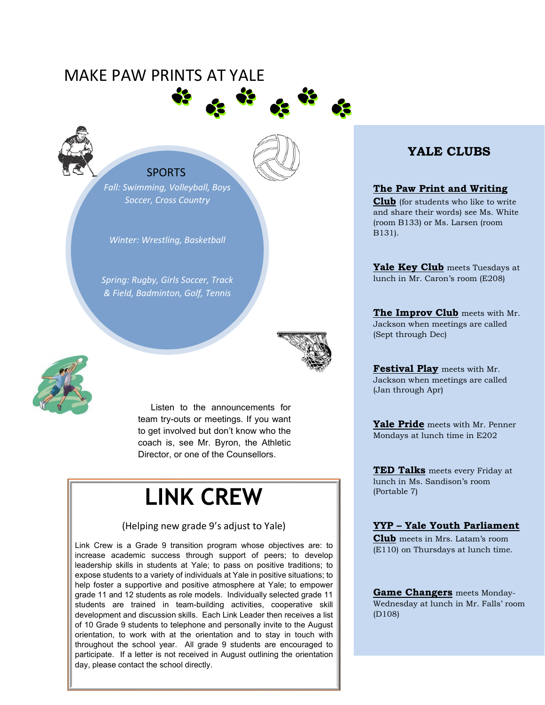### MAKE PAW PRINTS AT YALE





### **SPORTS**

*Fall: Swimming, Volleyball, Boys Soccer, Cross Country*

*Winter: Wrestling, Basketball*

*Spring: Rugby, Girls Soccer, Track & Field, Badminton, Golf, Tennis*



Listen to the announcements for team try-outs or meetings. If you want to get involved but don't know who the coach is, see Mr. Byron, the Athletic Director, or one of the Counsellors.

# **LINK CREW**

### (Helping new grade 9's adjust to Yale)

Link Crew is a Grade 9 transition program whose objectives are: to increase academic success through support of peers; to develop leadership skills in students at Yale; to pass on positive traditions; to expose students to a variety of individuals at Yale in positive situations; to help foster a supportive and positive atmosphere at Yale; to empower grade 11 and 12 students as role models. Individually selected grade 11 students are trained in team-building activities, cooperative skill development and discussion skills. Each Link Leader then receives a list of 10 Grade 9 students to telephone and personally invite to the August orientation, to work with at the orientation and to stay in touch with throughout the school year. All grade 9 students are encouraged to participate. If a letter is not received in August outlining the orientation day, please contact the school directly.

### **YALE CLUBS**

### **The Paw Print and Writing**

**Club** (for students who like to write and share their words) see Ms. White (room B133) or Ms. Larsen (room B131).

**Yale Key Club** meets Tuesdays at lunch in Mr. Caron's room (E208)

**The Improv Club** meets with Mr. Jackson when meetings are called (Sept through Dec)

**Festival Play** meets with Mr. Jackson when meetings are called (Jan through Apr)

**Yale Pride** meets with Mr. Penner Mondays at lunch time in E202

**TED Talks** meets every Friday at lunch in Ms. Sandison's room (Portable 7)

### **YYP – Yale Youth Parliament**

**Club** meets in Mrs. Latam's room (E110) on Thursdays at lunch time.

**Game Changers** meets Monday-Wednesday at lunch in Mr. Falls' room (D108)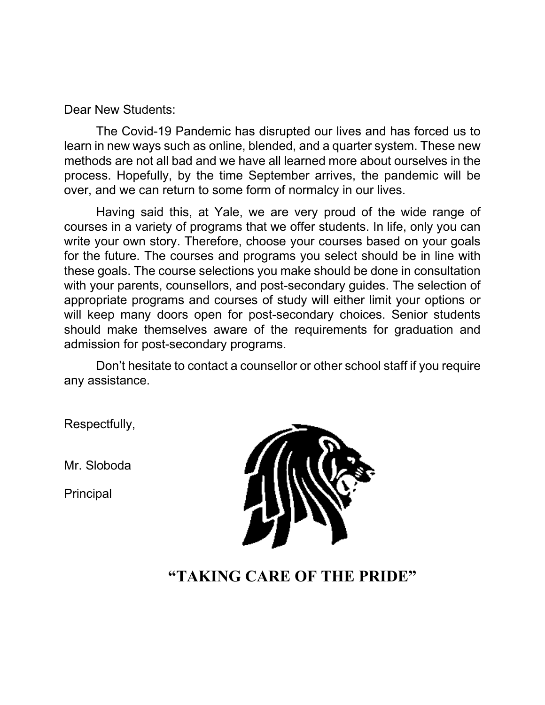Dear New Students:

The Covid-19 Pandemic has disrupted our lives and has forced us to learn in new ways such as online, blended, and a quarter system. These new methods are not all bad and we have all learned more about ourselves in the process. Hopefully, by the time September arrives, the pandemic will be over, and we can return to some form of normalcy in our lives.

Having said this, at Yale, we are very proud of the wide range of courses in a variety of programs that we offer students. In life, only you can write your own story. Therefore, choose your courses based on your goals for the future. The courses and programs you select should be in line with these goals. The course selections you make should be done in consultation with your parents, counsellors, and post-secondary guides. The selection of appropriate programs and courses of study will either limit your options or will keep many doors open for post-secondary choices. Senior students should make themselves aware of the requirements for graduation and admission for post-secondary programs.

Don't hesitate to contact a counsellor or other school staff if you require any assistance.

Respectfully,

Mr. Sloboda

Principal



### **"TAKING CARE OF THE PRIDE"**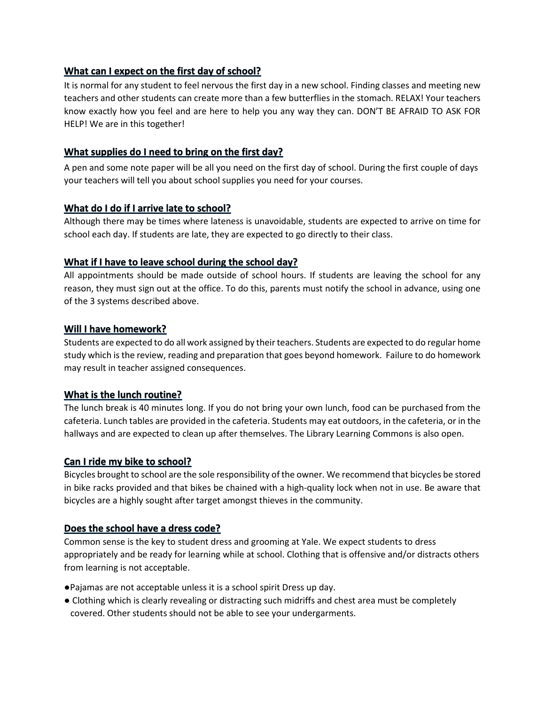### What can I expect on the first day of school?

It is normal for any student to feel nervous the first day in a new school. Finding classes and meeting new teachers and other students can create more than a few butterflies in the stomach. RELAX! Your teachers know exactly how you feel and are here to help you any way they can. DON'T BE AFRAID TO ASK FOR HELP! We are in this together!

### What supplies do I need to bring on the first day?

A pen and some note paper will be all you need on the first day of school. During the first couple of days your teachers will tell you about school supplies you need for your courses.

### What do I do if I arrive late to school?

Although there may be times where lateness is unavoidable, students are expected to arrive on time for school each day. If students are late, they are expected to go directly to their class.

### What if I have to leave school during the school day?

All appointments should be made outside of school hours. If students are leaving the school for any reason, they must sign out at the office. To do this, parents must notify the school in advance, using one of the 3 systems described above.

### Will I have homework?

Students are expected to do all work assigned by their teachers. Students are expected to do regular home study which is the review, reading and preparation that goes beyond homework. Failure to do homework may result in teacher assigned consequences.

### What is the lunch routine?

The lunch break is 40 minutes long. If you do not bring your own lunch, food can be purchased from the cafeteria. Lunch tables are provided in the cafeteria. Students may eat outdoors, in the cafeteria, or in the hallways and are expected to clean up after themselves. The Library Learning Commons is also open.

### Can I ride my bike to school?

Bicycles brought to school are the sole responsibility of the owner. We recommend that bicycles be stored in bike racks provided and that bikes be chained with a high-quality lock when not in use. Be aware that bicycles are a highly sought after target amongst thieves in the community.

### Does the school have a dress code?

Common sense is the key to student dress and grooming at Yale. We expect students to dress appropriately and be ready for learning while at school. Clothing that is offensive and/or distracts others from learning is not acceptable.

- ●Pajamas are not acceptable unless it is a school spirit Dress up day.
- Clothing which is clearly revealing or distracting such midriffs and chest area must be completely covered. Other students should not be able to see your undergarments.